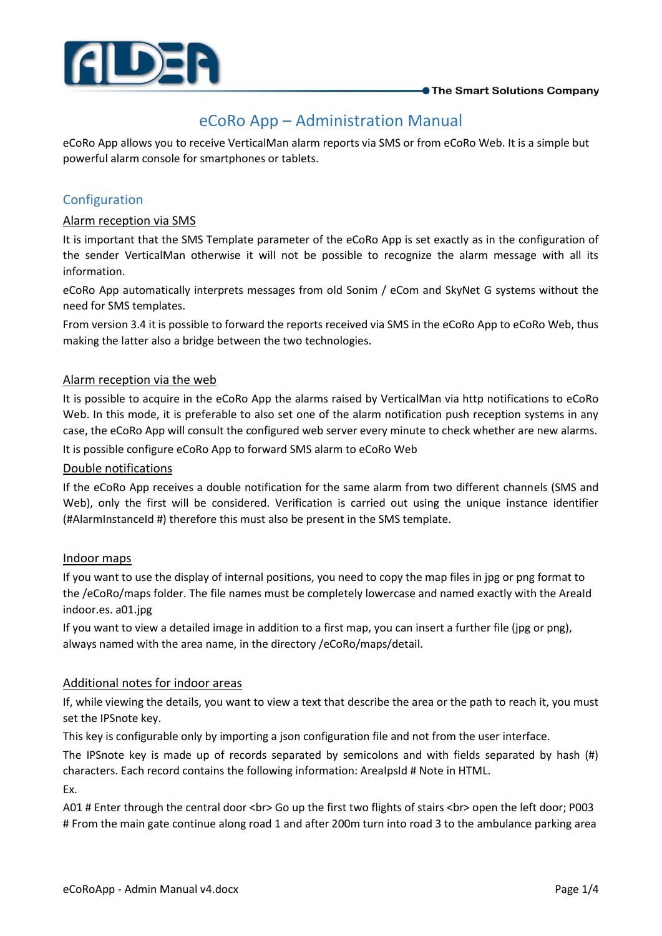

# eCoRo App – Administration Manual

eCoRo App allows you to receive VerticalMan alarm reports via SMS or from eCoRo Web. It is a simple but powerful alarm console for smartphones or tablets.

# Configuration

# Alarm reception via SMS

It is important that the SMS Template parameter of the eCoRo App is set exactly as in the configuration of the sender VerticalMan otherwise it will not be possible to recognize the alarm message with all its information.

eCoRo App automatically interprets messages from old Sonim / eCom and SkyNet G systems without the need for SMS templates.

From version 3.4 it is possible to forward the reports received via SMS in the eCoRo App to eCoRo Web, thus making the latter also a bridge between the two technologies.

# Alarm reception via the web

It is possible to acquire in the eCoRo App the alarms raised by VerticalMan via http notifications to eCoRo Web. In this mode, it is preferable to also set one of the alarm notification push reception systems in any case, the eCoRo App will consult the configured web server every minute to check whether are new alarms. It is possible configure eCoRo App to forward SMS alarm to eCoRo Web

## Double notifications

If the eCoRo App receives a double notification for the same alarm from two different channels (SMS and Web), only the first will be considered. Verification is carried out using the unique instance identifier (#AlarmInstanceId #) therefore this must also be present in the SMS template.

# Indoor maps

If you want to use the display of internal positions, you need to copy the map files in jpg or png format to the /eCoRo/maps folder. The file names must be completely lowercase and named exactly with the AreaId indoor.es. a01.jpg

If you want to view a detailed image in addition to a first map, you can insert a further file (jpg or png), always named with the area name, in the directory /eCoRo/maps/detail.

# Additional notes for indoor areas

If, while viewing the details, you want to view a text that describe the area or the path to reach it, you must set the IPSnote key.

This key is configurable only by importing a json configuration file and not from the user interface.

The IPSnote key is made up of records separated by semicolons and with fields separated by hash (#) characters. Each record contains the following information: AreaIpsId # Note in HTML.

Ex.

A01 # Enter through the central door <br> Go up the first two flights of stairs <br> open the left door; P003 # From the main gate continue along road 1 and after 200m turn into road 3 to the ambulance parking area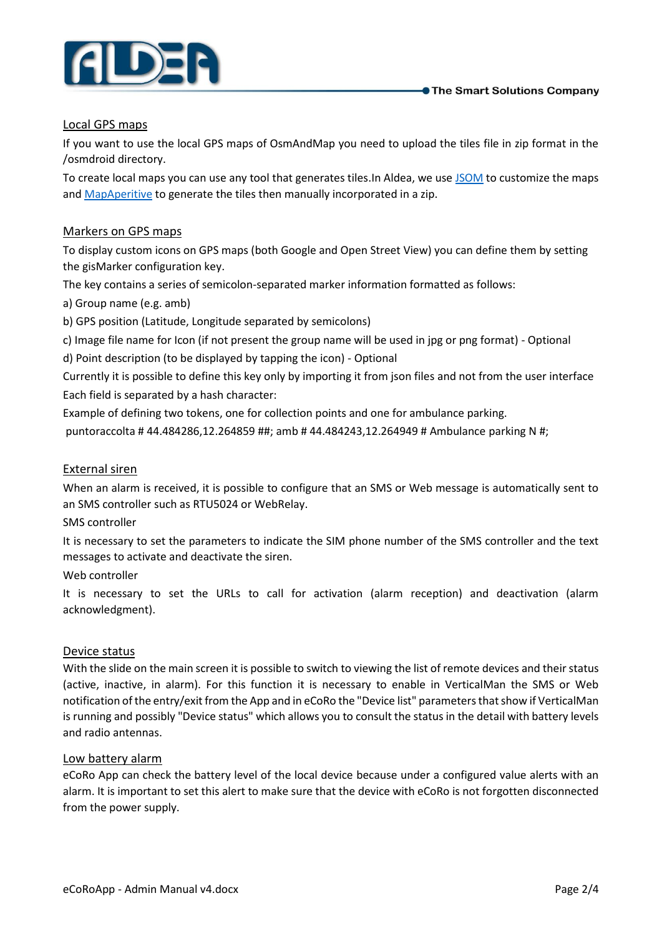

# Local GPS maps

If you want to use the local GPS maps of OsmAndMap you need to upload the tiles file in zip format in the /osmdroid directory.

To create local maps you can use any tool that generates tiles.In Aldea, we us[e JSOM](https://josm.openstreetmap.de/) to customize the maps and [MapAperitive](http://maperitive.net/) to generate the tiles then manually incorporated in a zip.

# Markers on GPS maps

To display custom icons on GPS maps (both Google and Open Street View) you can define them by setting the gisMarker configuration key.

The key contains a series of semicolon-separated marker information formatted as follows:

a) Group name (e.g. amb)

b) GPS position (Latitude, Longitude separated by semicolons)

c) Image file name for Icon (if not present the group name will be used in jpg or png format) - Optional

d) Point description (to be displayed by tapping the icon) - Optional

Currently it is possible to define this key only by importing it from json files and not from the user interface Each field is separated by a hash character:

Example of defining two tokens, one for collection points and one for ambulance parking.

puntoraccolta # 44.484286,12.264859 ##; amb # 44.484243,12.264949 # Ambulance parking N #;

#### External siren

When an alarm is received, it is possible to configure that an SMS or Web message is automatically sent to an SMS controller such as RTU5024 or WebRelay.

SMS controller

It is necessary to set the parameters to indicate the SIM phone number of the SMS controller and the text messages to activate and deactivate the siren.

Web controller

It is necessary to set the URLs to call for activation (alarm reception) and deactivation (alarm acknowledgment).

#### Device status

With the slide on the main screen it is possible to switch to viewing the list of remote devices and their status (active, inactive, in alarm). For this function it is necessary to enable in VerticalMan the SMS or Web notification of the entry/exit from the App and in eCoRo the "Device list" parameters that show if VerticalMan is running and possibly "Device status" which allows you to consult the status in the detail with battery levels and radio antennas.

# Low battery alarm

eCoRo App can check the battery level of the local device because under a configured value alerts with an alarm. It is important to set this alert to make sure that the device with eCoRo is not forgotten disconnected from the power supply.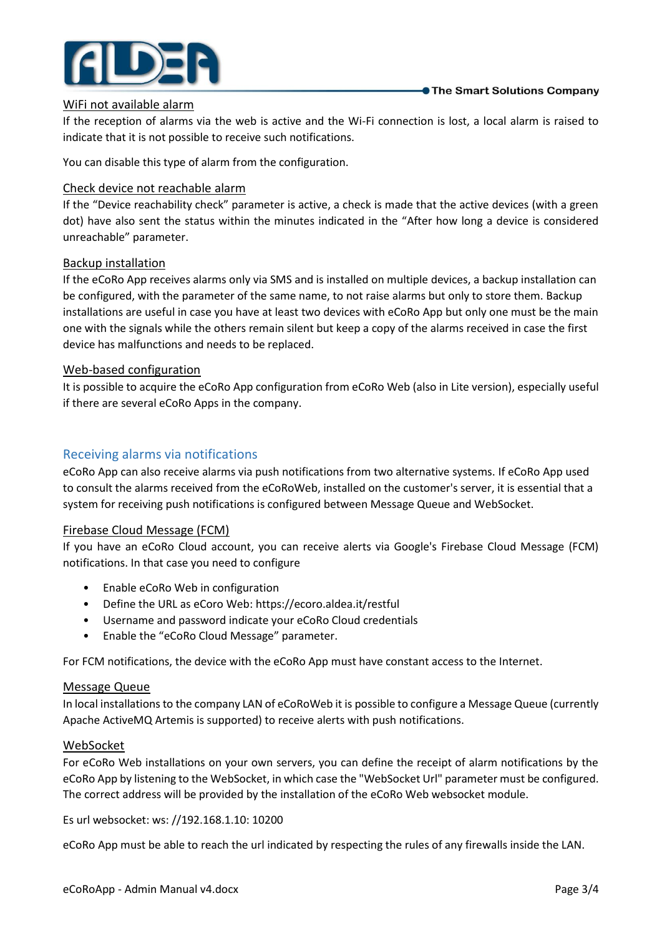

#### WiFi not available alarm

If the reception of alarms via the web is active and the Wi-Fi connection is lost, a local alarm is raised to indicate that it is not possible to receive such notifications.

You can disable this type of alarm from the configuration.

#### Check device not reachable alarm

If the "Device reachability check" parameter is active, a check is made that the active devices (with a green dot) have also sent the status within the minutes indicated in the "After how long a device is considered unreachable" parameter.

#### Backup installation

If the eCoRo App receives alarms only via SMS and is installed on multiple devices, a backup installation can be configured, with the parameter of the same name, to not raise alarms but only to store them. Backup installations are useful in case you have at least two devices with eCoRo App but only one must be the main one with the signals while the others remain silent but keep a copy of the alarms received in case the first device has malfunctions and needs to be replaced.

#### Web-based configuration

It is possible to acquire the eCoRo App configuration from eCoRo Web (also in Lite version), especially useful if there are several eCoRo Apps in the company.

# Receiving alarms via notifications

eCoRo App can also receive alarms via push notifications from two alternative systems. If eCoRo App used to consult the alarms received from the eCoRoWeb, installed on the customer's server, it is essential that a system for receiving push notifications is configured between Message Queue and WebSocket.

#### Firebase Cloud Message (FCM)

If you have an eCoRo Cloud account, you can receive alerts via Google's Firebase Cloud Message (FCM) notifications. In that case you need to configure

- Enable eCoRo Web in configuration
- Define the URL as eCoro Web: https://ecoro.aldea.it/restful
- Username and password indicate your eCoRo Cloud credentials
- Enable the "eCoRo Cloud Message" parameter.

For FCM notifications, the device with the eCoRo App must have constant access to the Internet.

#### Message Queue

In local installations to the company LAN of eCoRoWeb it is possible to configure a Message Queue (currently Apache ActiveMQ Artemis is supported) to receive alerts with push notifications.

#### WebSocket

For eCoRo Web installations on your own servers, you can define the receipt of alarm notifications by the eCoRo App by listening to the WebSocket, in which case the "WebSocket Url" parameter must be configured. The correct address will be provided by the installation of the eCoRo Web websocket module.

Es url websocket: ws: //192.168.1.10: 10200

eCoRo App must be able to reach the url indicated by respecting the rules of any firewalls inside the LAN.